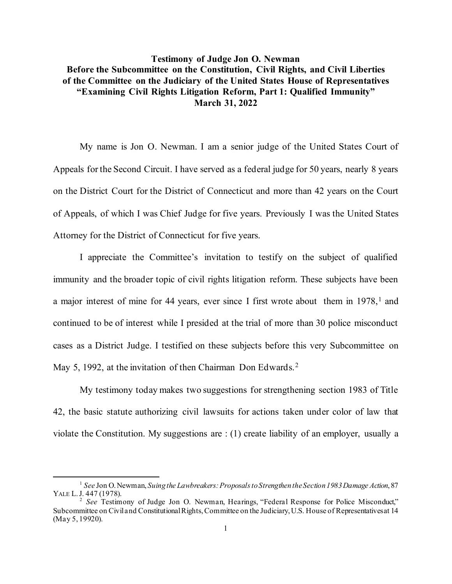## **Testimony of Judge Jon O. Newman Before the Subcommittee on the Constitution, Civil Rights, and Civil Liberties of the Committee on the Judiciary of the United States House of Representatives "Examining Civil Rights Litigation Reform, Part 1: Qualified Immunity" March 31, 2022**

My name is Jon O. Newman. I am a senior judge of the United States Court of Appeals for the Second Circuit. I have served as a federal judge for 50 years, nearly 8 years on the District Court for the District of Connecticut and more than 42 years on the Court of Appeals, of which I was Chief Judge for five years. Previously I was the United States Attorney for the District of Connecticut for five years.

I appreciate the Committee's invitation to testify on the subject of qualified immunity and the broader topic of civil rights litigation reform. These subjects have been a major interest of mine for 44 years, ever since I first wrote about them in  $1978$  $1978$ , and continued to be of interest while I presided at the trial of more than 30 police misconduct cases as a District Judge. I testified on these subjects before this very Subcommittee on May 5, 199[2](#page-0-1), at the invitation of then Chairman Don Edwards.<sup>2</sup>

My testimony today makes two suggestions for strengthening section 1983 of Title 42, the basic statute authorizing civil lawsuits for actions taken under color of law that violate the Constitution. My suggestions are : (1) create liability of an employer, usually a

<span id="page-0-0"></span><sup>1</sup> *See* Jon O. Newman, *Suing the Lawbreakers: Proposals to Strengthen the Section 1983 Damage Action*, 87

<span id="page-0-1"></span><sup>&</sup>lt;sup>2</sup> *See* Testimony of Judge Jon O. Newman, Hearings, "Federal Response for Police Misconduct," Subcommittee on Civil and Constitutional Rights, Committee on the Judiciary, U.S. House of Representativesat 14 (May 5, 19920).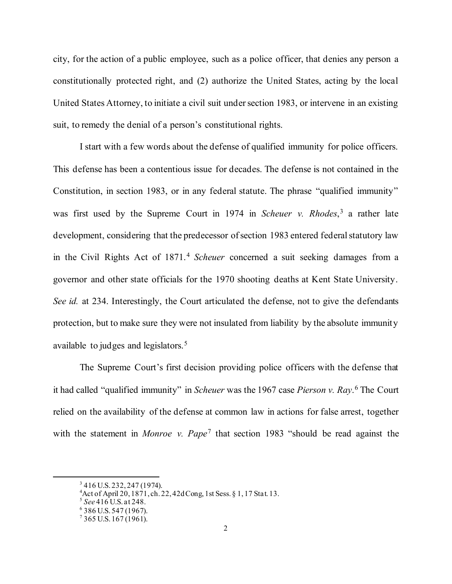city, for the action of a public employee, such as a police officer, that denies any person a constitutionally protected right, and (2) authorize the United States, acting by the local United States Attorney, to initiate a civil suit under section 1983, or intervene in an existing suit, to remedy the denial of a person's constitutional rights.

I start with a few words about the defense of qualified immunity for police officers. This defense has been a contentious issue for decades. The defense is not contained in the Constitution, in section 1983, or in any federal statute. The phrase "qualified immunity" was first used by the Supreme Court in 1974 in *Scheuer v. Rhodes*, [3](#page-1-0) a rather late development, considering that the predecessor of section 1983 entered federal statutory law in the Civil Rights Act of 1871.[4](#page-1-1) *Scheuer* concerned a suit seeking damages from a governor and other state officials for the 1970 shooting deaths at Kent State University. *See id.* at 234. Interestingly, the Court articulated the defense, not to give the defendants protection, but to make sure they were not insulated from liability by the absolute immunity available to judges and legislators.<sup>[5](#page-1-2)</sup>

The Supreme Court's first decision providing police officers with the defense that it had called "qualified immunity" in *Scheuer* was the 1967 case *Pierson v. Ray*. [6](#page-1-3) The Court relied on the availability of the defense at common law in actions for false arrest, together with the statement in *Monroe v. Pape*[7](#page-1-4) that section 1983 "should be read against the

<span id="page-1-0"></span> $3416$  U.S. 232, 247 (1974).

<span id="page-1-1"></span><sup>&</sup>lt;sup>4</sup> Act of April 20, 1871, ch. 22, 42dCong, 1st Sess. § 1, 17 Stat. 13.<br><sup>5</sup> *See* 416 U.S. at 248.<br><sup>6</sup> 386 U.S. 547 (1967).

<span id="page-1-2"></span>

<span id="page-1-3"></span>

<span id="page-1-4"></span> $7$  365 U.S. 167 (1961).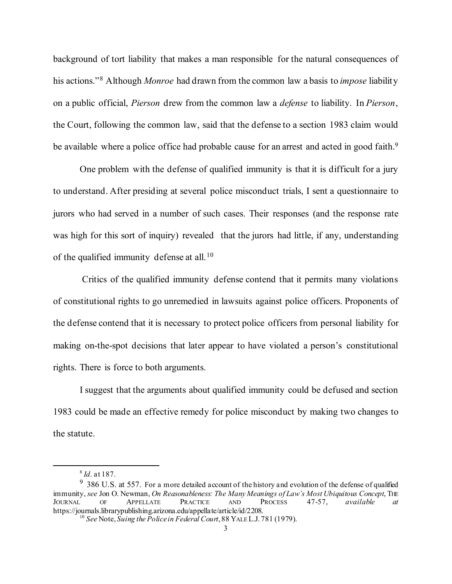background of tort liability that makes a man responsible for the natural consequences of his actions."[8](#page-2-0) Although *Monroe* had drawn from the common law a basis to *impose* liability on a public official, *Pierson* drew from the common law a *defense* to liability. In *Pierson*, the Court, following the common law, said that the defense to a section 1983 claim would be available where a police office had probable cause for an arrest and acted in good faith.<sup>9</sup>

One problem with the defense of qualified immunity is that it is difficult for a jury to understand. After presiding at several police misconduct trials, I sent a questionnaire to jurors who had served in a number of such cases. Their responses (and the response rate was high for this sort of inquiry) revealed that the jurors had little, if any, understanding of the qualified immunity defense at all.<sup>[10](#page-2-2)</sup>

Critics of the qualified immunity defense contend that it permits many violations of constitutional rights to go unremedied in lawsuits against police officers. Proponents of the defense contend that it is necessary to protect police officers from personal liability for making on-the-spot decisions that later appear to have violated a person's constitutional rights. There is force to both arguments.

I suggest that the arguments about qualified immunity could be defused and section 1983 could be made an effective remedy for police misconduct by making two changes to the statute.

<sup>8</sup> *Id.* at 187.

<span id="page-2-2"></span><span id="page-2-1"></span><span id="page-2-0"></span> $9\,$  386 U.S. at 557. For a more detailed account of the history and evolution of the defense of qualified immunity, *see* Jon O. Newman, *On Reasonableness: The Many Meanings of Law's Most Ubiquitous Concept*, The JOURNAL OF APPELLATE PRACTICE AND PROCESS 47-57, *available at* JOURNAL OF APPELLATE PRACTICE AND PROCESS 47-57, *available at* https://journals.librarypublishing.arizona.edu/appellate/article/id/2208. <sup>10</sup> *See* Note, *Suing the Police in Federal Court*, 88 YALE L.J. 781 (1979).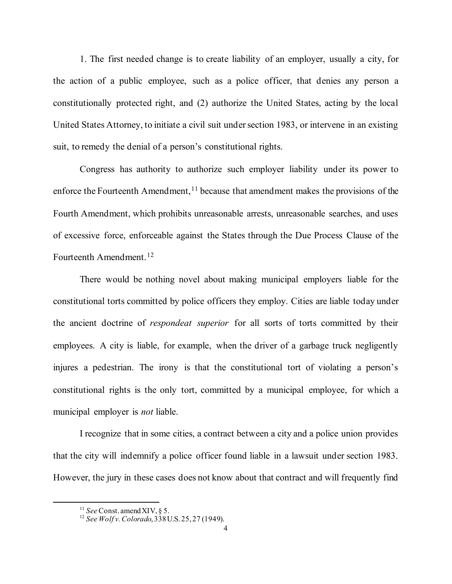1. The first needed change is to create liability of an employer, usually a city, for the action of a public employee, such as a police officer, that denies any person a constitutionally protected right, and (2) authorize the United States, acting by the local United States Attorney, to initiate a civil suit under section 1983, or intervene in an existing suit, to remedy the denial of a person's constitutional rights.

Congress has authority to authorize such employer liability under its power to enforce the Fourteenth Amendment,  $11$  because that amendment makes the provisions of the Fourth Amendment, which prohibits unreasonable arrests, unreasonable searches, and uses of excessive force, enforceable against the States through the Due Process Clause of the Fourteenth Amendment.<sup>[12](#page-3-1)</sup>

There would be nothing novel about making municipal employers liable for the constitutional torts committed by police officers they employ. Cities are liable today under the ancient doctrine of *respondeat superior* for all sorts of torts committed by their employees. A city is liable, for example, when the driver of a garbage truck negligently injures a pedestrian. The irony is that the constitutional tort of violating a person's constitutional rights is the only tort, committed by a municipal employee, for which a municipal employer is *not* liable.

I recognize that in some cities, a contract between a city and a police union provides that the city will indemnify a police officer found liable in a lawsuit under section 1983. However, the jury in these cases does not know about that contract and will frequently find

<span id="page-3-1"></span><span id="page-3-0"></span><sup>&</sup>lt;sup>11</sup> *See* Const. amend XIV, § 5.<br><sup>12</sup> *See Wolf v. Colorado*, 338 U.S. 25, 27 (1949).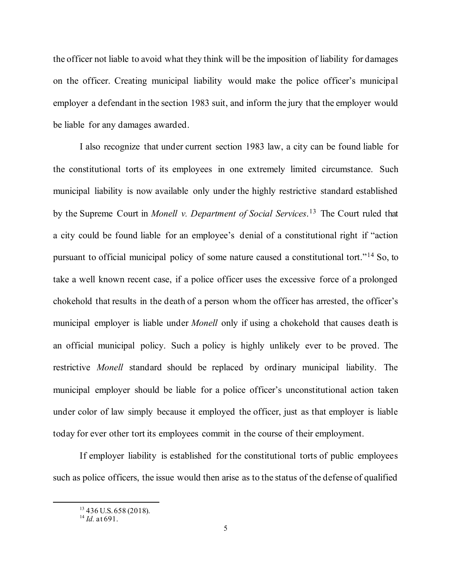the officer not liable to avoid what they think will be the imposition of liability for damages on the officer. Creating municipal liability would make the police officer's municipal employer a defendant in the section 1983 suit, and inform the jury that the employer would be liable for any damages awarded.

I also recognize that under current section 1983 law, a city can be found liable for the constitutional torts of its employees in one extremely limited circumstance. Such municipal liability is now available only under the highly restrictive standard established by the Supreme Court in *Monell v. Department of Social Services*.[13](#page-4-0) The Court ruled that a city could be found liable for an employee's denial of a constitutional right if "action pursuant to official municipal policy of some nature caused a constitutional tort."[14](#page-4-1) So, to take a well known recent case, if a police officer uses the excessive force of a prolonged chokehold that results in the death of a person whom the officer has arrested, the officer's municipal employer is liable under *Monell* only if using a chokehold that causes death is an official municipal policy. Such a policy is highly unlikely ever to be proved. The restrictive *Monell* standard should be replaced by ordinary municipal liability. The municipal employer should be liable for a police officer's unconstitutional action taken under color of law simply because it employed the officer, just as that employer is liable today for ever other tort its employees commit in the course of their employment.

<span id="page-4-0"></span>If employer liability is established for the constitutional torts of public employees such as police officers, the issue would then arise as to the status of the defense of qualified

<span id="page-4-1"></span><sup>13</sup> 436 U.S. 658 (2018). 14 *Id.* at 691.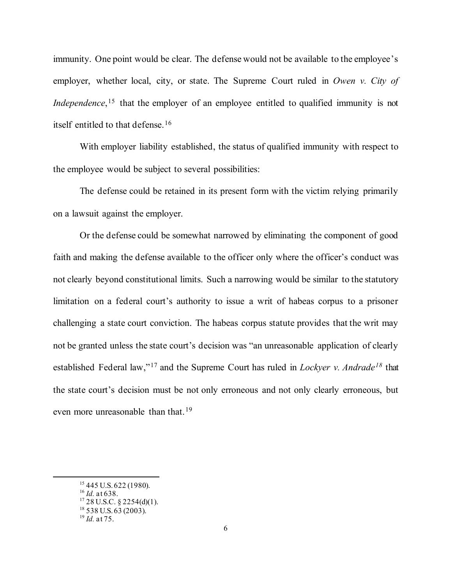immunity. One point would be clear. The defense would not be available to the employee's employer, whether local, city, or state. The Supreme Court ruled in *Owen v. City of Independence*,<sup>[15](#page-5-0)</sup> that the employer of an employee entitled to qualified immunity is not itself entitled to that defense.[16](#page-5-1)

With employer liability established, the status of qualified immunity with respect to the employee would be subject to several possibilities:

The defense could be retained in its present form with the victim relying primarily on a lawsuit against the employer.

Or the defense could be somewhat narrowed by eliminating the component of good faith and making the defense available to the officer only where the officer's conduct was not clearly beyond constitutional limits. Such a narrowing would be similar to the statutory limitation on a federal court's authority to issue a writ of habeas corpus to a prisoner challenging a state court conviction. The habeas corpus statute provides that the writ may not be granted unless the state court's decision was "an unreasonable application of clearly established Federal law,"[17](#page-5-2) and the Supreme Court has ruled in *Lockyer v. Andrade[18](#page-5-3)* that the state court's decision must be not only erroneous and not only clearly erroneous, but even more unreasonable than that.<sup>[19](#page-5-4)</sup>

<span id="page-5-2"></span>

<span id="page-5-1"></span><span id="page-5-0"></span><sup>&</sup>lt;sup>15</sup> 445 U.S. 622 (1980).<br><sup>16</sup> *Id.* at 638.<br><sup>17</sup> 28 U.S.C. § 2254(d)(1).<br><sup>18</sup> 538 U.S. 63 (2003).<br><sup>19</sup> *Id.* at 75.

<span id="page-5-4"></span><span id="page-5-3"></span>

<sup>6</sup>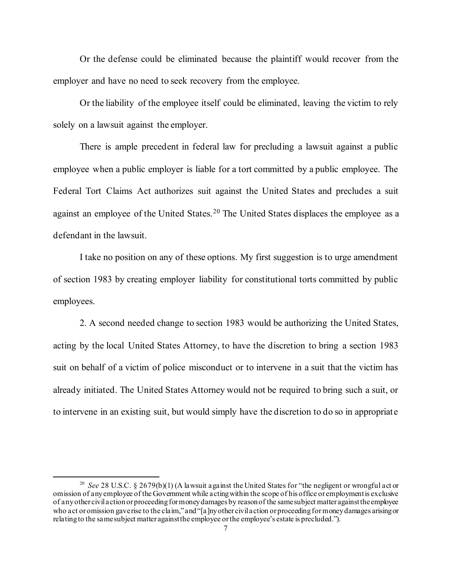Or the defense could be eliminated because the plaintiff would recover from the employer and have no need to seek recovery from the employee.

Or the liability of the employee itself could be eliminated, leaving the victim to rely solely on a lawsuit against the employer.

There is ample precedent in federal law for precluding a lawsuit against a public employee when a public employer is liable for a tort committed by a public employee. The Federal Tort Claims Act authorizes suit against the United States and precludes a suit against an employee of the United States.<sup>[20](#page-6-0)</sup> The United States displaces the employee as a defendant in the lawsuit.

I take no position on any of these options. My first suggestion is to urge amendment of section 1983 by creating employer liability for constitutional torts committed by public employees.

2. A second needed change to section 1983 would be authorizing the United States, acting by the local United States Attorney, to have the discretion to bring a section 1983 suit on behalf of a victim of police misconduct or to intervene in a suit that the victim has already initiated. The United States Attorney would not be required to bring such a suit, or to intervene in an existing suit, but would simply have the discretion to do so in appropriate

<span id="page-6-0"></span><sup>&</sup>lt;sup>20</sup> *See* 28 U.S.C. § 2679(b)(1) (A lawsuit against the United States for "the negligent or wrongful act or omission of any employee of the Government while acting within the scope of his office or employment is exclusive of any other civil action or proceeding formoney damages by reason of the same subject matter against the employee who act or omission gave rise to the claim," and "[a]ny other civil action or proceeding for money damages arising or relating to the same subject matter against the employee or the employee's estate is precluded.").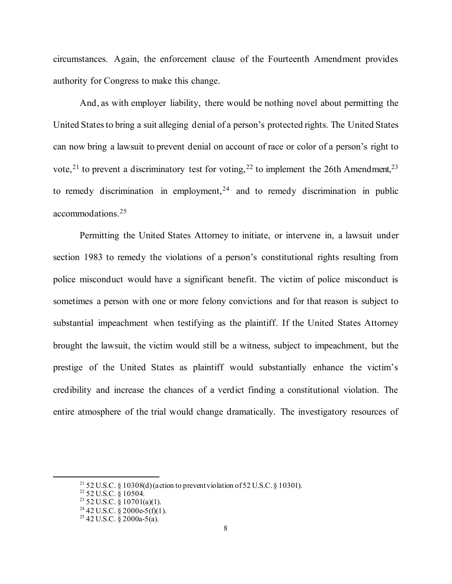circumstances. Again, the enforcement clause of the Fourteenth Amendment provides authority for Congress to make this change.

And, as with employer liability, there would be nothing novel about permitting the United States to bring a suit alleging denial of a person's protected rights. The United States can now bring a lawsuit to prevent denial on account of race or color of a person's right to vote,<sup>[21](#page-7-0)</sup> to prevent a discriminatory test for voting,<sup>[22](#page-7-1)</sup> to implement the 26th Amendment,<sup>23</sup> to remedy discrimination in employment,  $24$  and to remedy discrimination in public accommodations.[25](#page-7-4)

Permitting the United States Attorney to initiate, or intervene in, a lawsuit under section 1983 to remedy the violations of a person's constitutional rights resulting from police misconduct would have a significant benefit. The victim of police misconduct is sometimes a person with one or more felony convictions and for that reason is subject to substantial impeachment when testifying as the plaintiff. If the United States Attorney brought the lawsuit, the victim would still be a witness, subject to impeachment, but the prestige of the United States as plaintiff would substantially enhance the victim's credibility and increase the chances of a verdict finding a constitutional violation. The entire atmosphere of the trial would change dramatically. The investigatory resources of

<span id="page-7-1"></span><span id="page-7-0"></span><sup>&</sup>lt;sup>21</sup> 52 U.S.C. § 10308(d) (action to prevent violation of 52 U.S.C. § 10301).<br><sup>22</sup> 52 U.S.C. § 10504.<br><sup>23</sup> 52 U.S.C. § 10701(a)(1).<br><sup>24</sup> 42 U.S.C. § 2000e-5(f)(1).<br><sup>25</sup> 42 U.S.C. § 2000a-5(a).

<span id="page-7-4"></span><span id="page-7-3"></span><span id="page-7-2"></span>